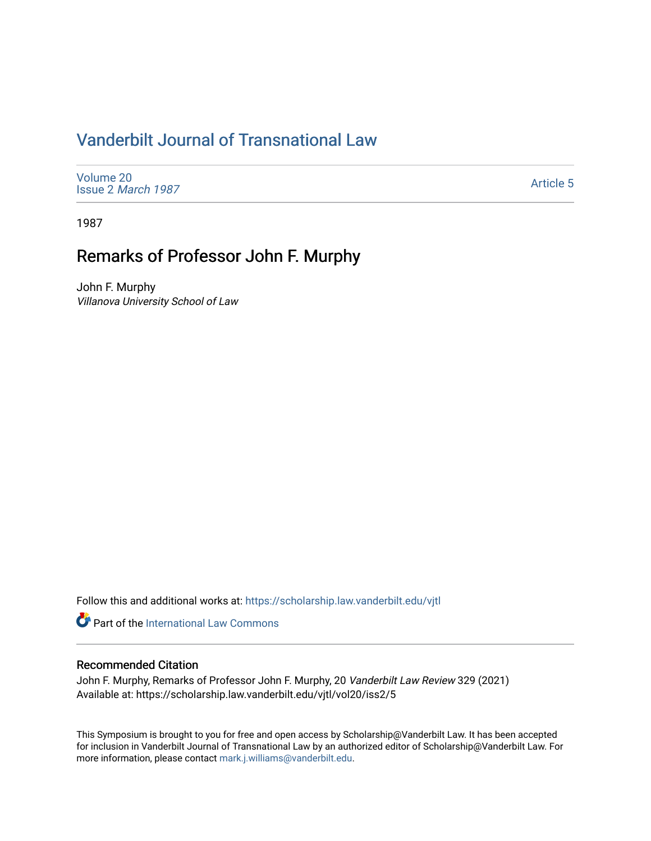## [Vanderbilt Journal of Transnational Law](https://scholarship.law.vanderbilt.edu/vjtl)

[Volume 20](https://scholarship.law.vanderbilt.edu/vjtl/vol20) Issue 2 [March 1987](https://scholarship.law.vanderbilt.edu/vjtl/vol20/iss2)

[Article 5](https://scholarship.law.vanderbilt.edu/vjtl/vol20/iss2/5) 

1987

## Remarks of Professor John F. Murphy

John F. Murphy Villanova University School of Law

Follow this and additional works at: [https://scholarship.law.vanderbilt.edu/vjtl](https://scholarship.law.vanderbilt.edu/vjtl?utm_source=scholarship.law.vanderbilt.edu%2Fvjtl%2Fvol20%2Fiss2%2F5&utm_medium=PDF&utm_campaign=PDFCoverPages) 

**Part of the International Law Commons** 

## Recommended Citation

John F. Murphy, Remarks of Professor John F. Murphy, 20 Vanderbilt Law Review 329 (2021) Available at: https://scholarship.law.vanderbilt.edu/vjtl/vol20/iss2/5

This Symposium is brought to you for free and open access by Scholarship@Vanderbilt Law. It has been accepted for inclusion in Vanderbilt Journal of Transnational Law by an authorized editor of Scholarship@Vanderbilt Law. For more information, please contact [mark.j.williams@vanderbilt.edu](mailto:mark.j.williams@vanderbilt.edu).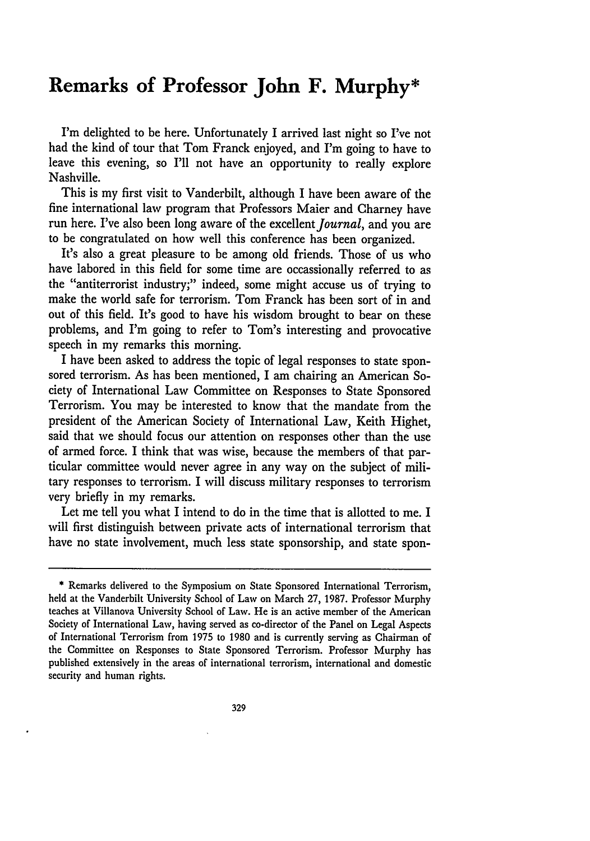## **Remarks of Professor John F. Murphy\***

I'm delighted to be here. Unfortunately I arrived last night so **I've** not had the kind of tour that Tom Franck enjoyed, and I'm going to have to leave this evening, so I'll not have an opportunity to really explore Nashville.

This is my first visit to Vanderbilt, although I have been aware of the fine international law program that Professors Maier and Charney have run here. I've also been long aware of the excellent Journal, and you are to be congratulated on how well this conference has been organized.

It's also a great pleasure to be among old friends. Those of us who have labored in this field for some time are occassionally referred to as the "antiterrorist industry;" indeed, some might accuse us of trying to make the world safe for terrorism. Tom Franck has been sort of in and out of this field. It's good to have his wisdom brought to bear on these problems, and I'm going to refer to Tom's interesting and provocative speech in my remarks this morning.

I have been asked to address the topic of legal responses to state sponsored terrorism. As has been mentioned, I am chairing an American Society of International Law Committee on Responses to State Sponsored Terrorism. You may be interested to know that the mandate from the president of the American Society of International Law, Keith Highet, said that we should focus our attention on responses other than the use of armed force. I think that was wise, because the members of that particular committee would never agree in any way on the subject of military responses to terrorism. I will discuss military responses to terrorism very briefly in my remarks.

Let me tell you what I intend to do in the time that is allotted to me. I will first distinguish between private acts of international terrorism that have no state involvement, much less state sponsorship, and state spon-

<sup>\*</sup> Remarks delivered to the Symposium on State Sponsored International Terrorism, held at the Vanderbilt University School of Law on March **27, 1987.** Professor Murphy teaches at Villanova University School of Law. He is an active member of the American Society of International Law, having served as co-director of the Panel on Legal Aspects of International Terrorism from **1975** to **1980** and is currently serving as Chairman of the Committee on Responses to State Sponsored Terrorism. Professor Murphy has published extensively in the areas of international terrorism, international and domestic security and human rights.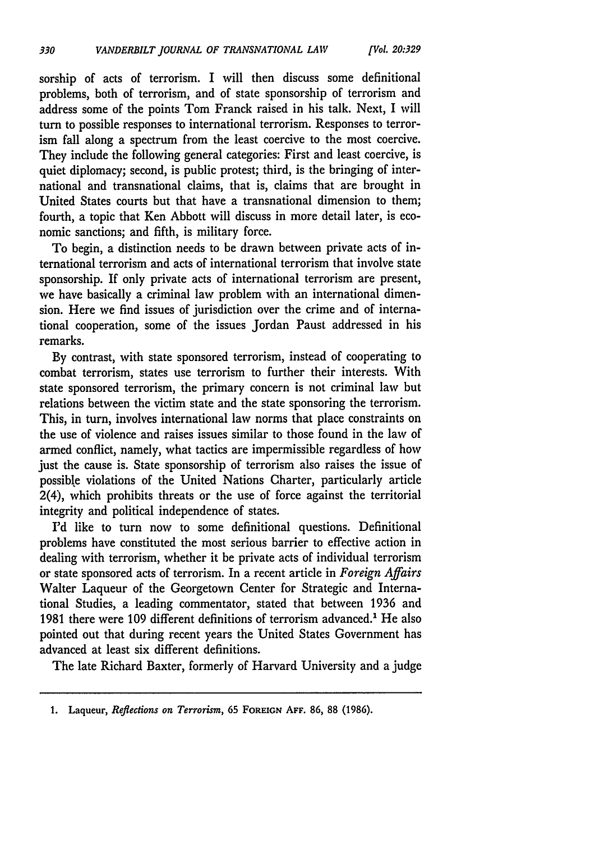sorship of acts of terrorism. I will then discuss some definitional problems, both of terrorism, and of state sponsorship of terrorism and address some of the points Tom Franck raised in his talk. Next, I will turn to possible responses to international terrorism. Responses to terrorism fall along a spectrum from the least coercive to the most coercive. They include the following general categories: First and least coercive, is quiet diplomacy; second, is public protest; third, is the bringing of international and transnational claims, that is, claims that are brought in United States courts but that have a transnational dimension to them; fourth, a topic that Ken Abbott will discuss in more detail later, is economic sanctions; and fifth, is military force.

To begin, a distinction needs to be drawn between private acts of international terrorism and acts of international terrorism that involve state sponsorship. If only private acts of international terrorism are present, we have basically a criminal law problem with an international dimension. Here we find issues of jurisdiction over the crime and of international cooperation, some of the issues Jordan Paust addressed in his remarks.

By contrast, with state sponsored terrorism, instead of cooperating to combat terrorism, states use terrorism to further their interests. With state sponsored terrorism, the primary concern is not criminal law but relations between the victim state and the state sponsoring the terrorism. This, in turn, involves international law norms that place constraints on the use of violence and raises issues similar to those found in the law of armed conflict, namely, what tactics are impermissible regardless of how just the cause is. State sponsorship of terrorism also raises the issue of possible violations of the United Nations Charter, particularly article 2(4), which prohibits threats or the use of force against the territorial integrity and political independence of states.

I'd like to turn now to some definitional questions. Definitional problems have constituted the most serious barrier to effective action in dealing with terrorism, whether it be private acts of individual terrorism or state sponsored acts of terrorism. In a recent article in *Foreign Affairs* Walter Laqueur of the Georgetown Center for Strategic and International Studies, a leading commentator, stated that between 1936 and 1981 there were 109 different definitions of terrorism advanced.' He also pointed out that during recent years the United States Government has advanced at least six different definitions.

The late Richard Baxter, formerly of Harvard University and a judge

**<sup>1.</sup>** Laqueur, *Reflections on Terrorism,* **65 FOREIGN AFF. 86, 88 (1986).**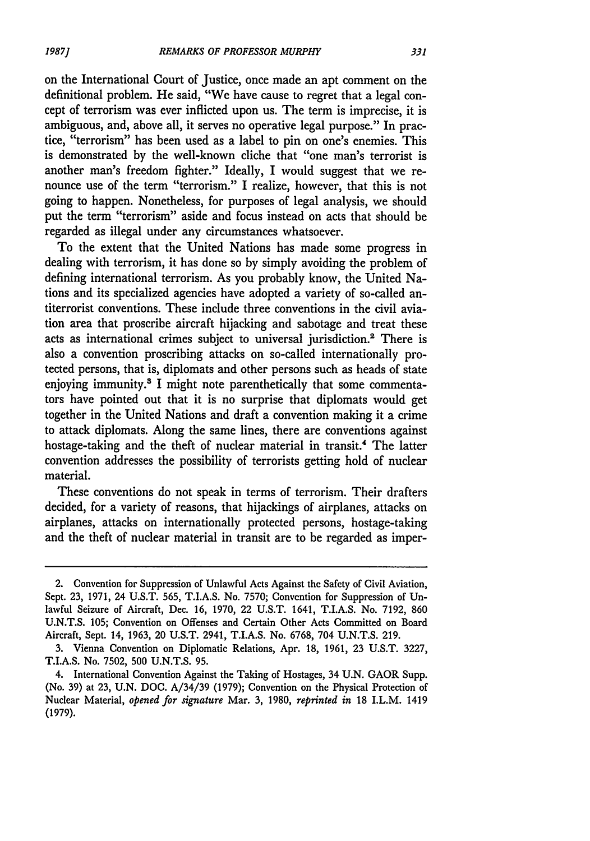*1987]*

on the International Court of Justice, once made an apt comment on the definitional problem. He said, "We have cause to regret that a legal concept of terrorism was ever inflicted upon us. The term is imprecise, it is ambiguous, and, above all, it serves no operative legal purpose." In practice, "terrorism" has been used as a label to pin on one's enemies. This is demonstrated by the well-known cliche that "one man's terrorist is another man's freedom fighter." Ideally, I would suggest that we renounce use of the term "terrorism." I realize, however, that this is not going to happen. Nonetheless, for purposes of legal analysis, we should put the term "terrorism" aside and focus instead on acts that should be regarded as illegal under any circumstances whatsoever.

To the extent that the United Nations has made some progress in dealing with terrorism, it has done so by simply avoiding the problem of defining international terrorism. As you probably know, the United Nations and its specialized agencies have adopted a variety of so-called antiterrorist conventions. These include three conventions in the civil aviation area that proscribe aircraft hijacking and sabotage and treat these acts as international crimes subject to universal jurisdiction.2 There is also a convention proscribing attacks on so-called internationally protected persons, that is, diplomats and other persons such as heads of state enjoying immunity.<sup>3</sup> I might note parenthetically that some commentators have pointed out that it is no surprise that diplomats would get together in the United Nations and draft a convention making it a crime to attack diplomats. Along the same lines, there are conventions against hostage-taking and the theft of nuclear material in transit.<sup>4</sup> The latter convention addresses the possibility of terrorists getting hold of nuclear material.

These conventions do not speak in terms of terrorism. Their drafters decided, for a variety of reasons, that hijackings of airplanes, attacks on airplanes, attacks on internationally protected persons, hostage-taking and the theft of nuclear material in transit are to be regarded as imper-

<sup>2.</sup> Convention for Suppression of Unlawful Acts Against the Safety of Civil Aviation, Sept. **23,** 1971, 24 **U.S.T. 565,** T.I.A.S. No. 7570; Convention for Suppression of Unlawful Seizure of Aircraft, Dec. 16, 1970, 22 **U.S.T.** 1641, T.I.A.S. No. 7192, **860 U.N.T.S.** 105; Convention on Offenses and Certain Other Acts Committed on Board Aircraft, Sept. 14, 1963, 20 **U.S.T.** 2941, T.I.A.S. No. **6768,** 704 **U.N.T.S.** 219.

**<sup>3.</sup>** Vienna Convention on Diplomatic Relations, Apr. **18,** 1961, **23** U.S.T. 3227, **T.I.A.S.** No. 7502, **500** U.N.T.S. **95.**

<sup>4.</sup> International Convention Against the Taking of Hostages, 34 **U.N.** GAOR Supp. (No. **39)** at **23,** U.N. DOC. A/34/39 (1979); Convention on the Physical Protection of Nuclear Material, *opened for signature* Mar. 3, 1980, *reprinted in* 18 I.L.M. 1419 (1979).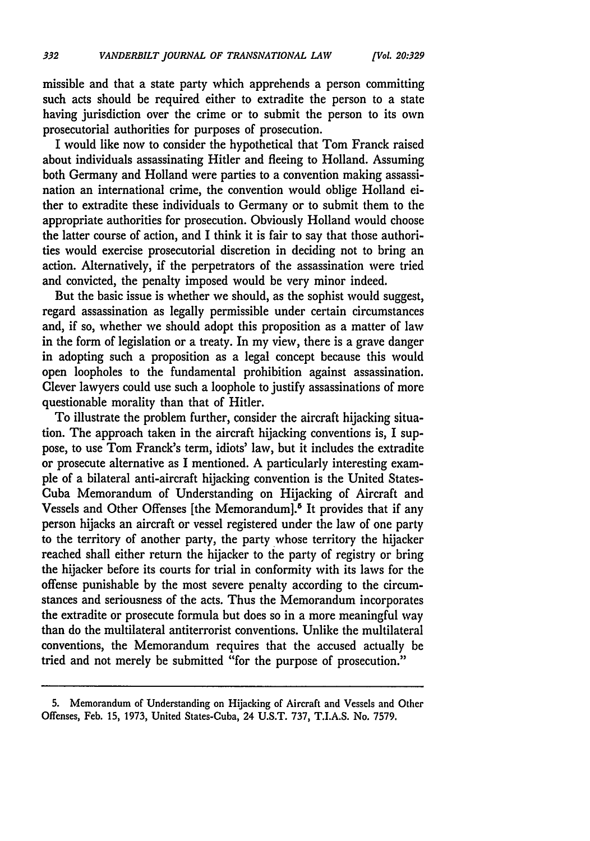missible and that a state party which apprehends a person committing such acts should be required either to extradite the person to a state having jurisdiction over the crime or to submit the person to its own prosecutorial authorities for purposes of prosecution.

I would like now to consider the hypothetical that Tom Franck raised about individuals assassinating Hitler and fleeing to Holland. Assuming both Germany and Holland were parties to a convention making assassination an international crime, the convention would oblige Holland either to extradite these individuals to Germany or to submit them to the appropriate authorities for prosecution. Obviously Holland would choose the latter course of action, and I think it is fair to say that those authorities would exercise prosecutorial discretion in deciding not to bring an action. Alternatively, if the perpetrators of the assassination were tried and convicted, the penalty imposed would be very minor indeed.

But the basic issue is whether we should, as the sophist would suggest, regard assassination as legally permissible under certain circumstances and, if so, whether we should adopt this proposition as a matter of law in the form of legislation or a treaty. In my view, there is a grave danger in adopting such a proposition as a legal concept because this would open loopholes to the fundamental prohibition against assassination. Clever lawyers could use such a loophole to justify assassinations of more questionable morality than that of Hitler.

To illustrate the problem further, consider the aircraft hijacking situation. The approach taken in the aircraft hijacking conventions is, I suppose, to use Tom Franck's term, idiots' law, but it includes the extradite or prosecute alternative as I mentioned. A particularly interesting example of a bilateral anti-aircraft hijacking convention is the United States-Cuba Memorandum of Understanding on Hijacking of Aircraft and Vessels and Other Offenses [the Memorandum].<sup>5</sup> It provides that if any person hijacks an aircraft or vessel registered under the law of one party to the territory of another party, the party whose territory the hijacker reached shall either return the hijacker to the party of registry or bring the hijacker before its courts for trial in conformity with its laws for the offense punishable by the most severe penalty according to the circumstances and seriousness of the acts. Thus the Memorandum incorporates the extradite or prosecute formula but does so in a more meaningful way than do the multilateral antiterrorist conventions. Unlike the multilateral conventions, the Memorandum requires that the accused actually be tried and not merely be submitted "for the purpose of prosecution."

<sup>5.</sup> Memorandum of Understanding on Hijacking of Aircraft and Vessels and Other Offenses, Feb. 15, 1973, United States-Cuba, 24 U.S.T. 737, T.I.A.S. No. 7579.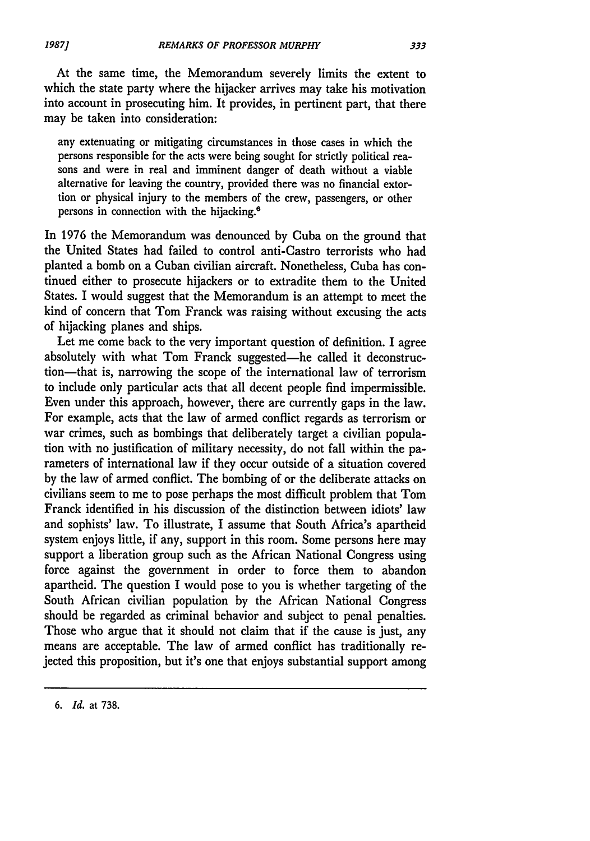At the same time, the Memorandum severely limits the extent to which the state party where the hijacker arrives may take his motivation into account in prosecuting him. It provides, in pertinent part, that there may be taken into consideration:

any extenuating or mitigating circumstances in those cases in which the persons responsible for the acts were being sought for strictly political reasons and were in real and imminent danger of death without a viable alternative for leaving the country, provided there was no financial extortion or physical injury to the members of the crew, passengers, or other persons in connection with the hijacking.8

In 1976 the Memorandum was denounced by Cuba on the ground that the United States had failed to control anti-Castro terrorists who had planted a bomb on a Cuban civilian aircraft. Nonetheless, Cuba has continued either to prosecute hijackers or to extradite them to the United States. I would suggest that the Memorandum is an attempt to meet the kind of concern that Tom Franck was raising without excusing the acts of hijacking planes and ships.

Let me come back to the very important question of definition. I agree absolutely with what Tom Franck suggested-he called it deconstruction-that is, narrowing the scope of the international law of terrorism to include only particular acts that all decent people find impermissible. Even under this approach, however, there are currently gaps in the law. For example, acts that the law of armed conflict regards as terrorism or war crimes, such as bombings that deliberately target a civilian population with no justification of military necessity, do not fall within the parameters of international law if they occur outside of a situation covered by the law of armed conflict. The bombing of or the deliberate attacks on civilians seem to me to pose perhaps the most difficult problem that Tom Franck identified in his discussion of the distinction between idiots' law and sophists' law. To illustrate, I assume that South Africa's apartheid system enjoys little, if any, support in this room. Some persons here may support a liberation group such as the African National Congress using force against the government in order to force them to abandon apartheid. The question I would pose to you is whether targeting of the South African civilian population by the African National Congress should be regarded as criminal behavior and subject to penal penalties. Those who argue that it should not claim that if the cause is just, any means are acceptable. The law of armed conflict has traditionally rejected this proposition, but it's one that enjoys substantial support among

*<sup>6.</sup> Id.* at 738.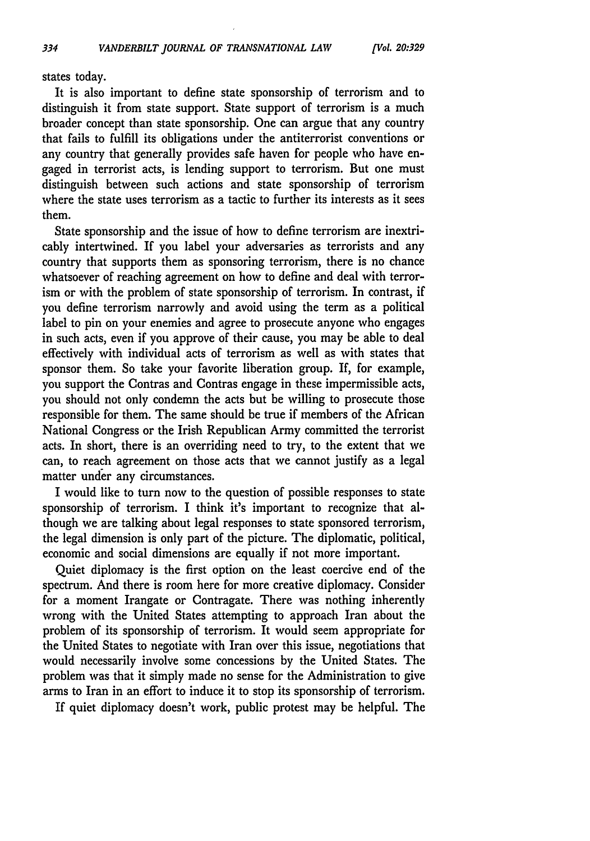states today.

It is also important to define state sponsorship of terrorism and to distinguish it from state support. State support of terrorism is a much broader concept than state sponsorship. One can argue that any country that fails to fulfill its obligations under the antiterrorist conventions or any country that generally provides safe haven for people who have engaged in terrorist acts, is lending support to terrorism. But one must distinguish between such actions and state sponsorship of terrorism where the state uses terrorism as a tactic to further its interests as it sees them.

State sponsorship and the issue of how to define terrorism are inextricably intertwined. If you label your adversaries as terrorists and any country that supports them as sponsoring terrorism, there is no chance whatsoever of reaching agreement on how to define and deal with terrorism or with the problem of state sponsorship of terrorism. In contrast, if you define terrorism narrowly and avoid using the term as a political label to pin on your enemies and agree to prosecute anyone who engages in such acts, even if you approve of their cause, you may be able to deal effectively with individual acts of terrorism as well as with states that sponsor them. So take your favorite liberation group. If, for example, you support the Contras and Contras engage in these impermissible acts, you should not only condemn the acts but be willing to prosecute those responsible for them. The same should be true if members of the African National Congress or the Irish Republican Army committed the terrorist acts. In short, there is an overriding need to try, to the extent that we can, to reach agreement on those acts that we cannot justify as a legal matter under any circumstances.

I would like to turn now to the question of possible responses to state sponsorship of terrorism. I think it's important to recognize that although we are talking about legal responses to state sponsored terrorism, the legal dimension is only part of the picture. The diplomatic, political, economic and social dimensions are equally if not more important.

Quiet diplomacy is the first option on the least coercive end of the spectrum. And there is room here for more creative diplomacy. Consider for a moment Irangate or Contragate. There was nothing inherently wrong with the United States attempting to approach Iran about the problem of its sponsorship of terrorism. It would seem appropriate for the United States to negotiate with Iran over this issue, negotiations that would necessarily involve some concessions by the United States. The problem was that it simply made no sense for the Administration to give arms to Iran in an effort to induce it to stop its sponsorship of terrorism.

If quiet diplomacy doesn't work, public protest may be helpful. The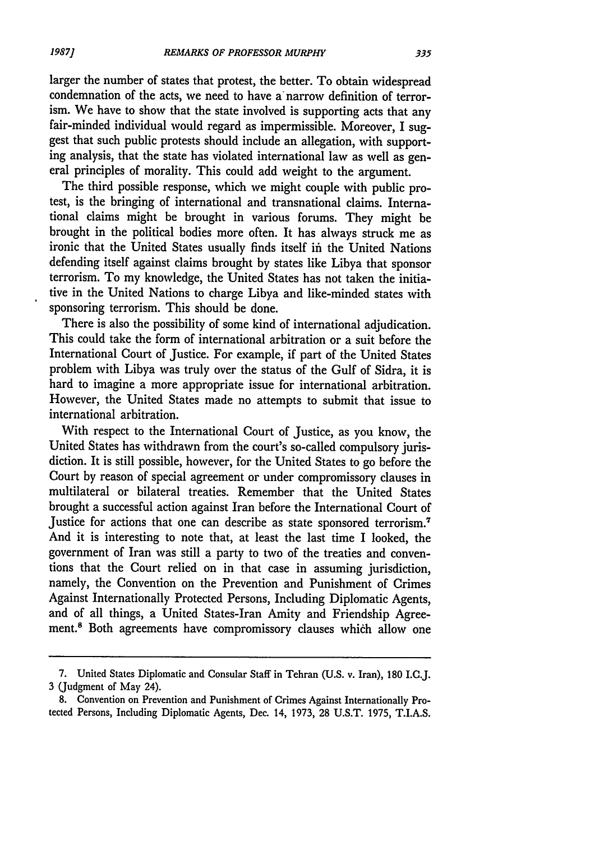larger the number of states that protest, the better. To obtain widespread condemnation of the acts, we need to have a narrow definition of terrorism. We have to show that the state involved is supporting acts that any fair-minded individual would regard as impermissible. Moreover, I suggest that such public protests should include an allegation, with supporting analysis, that the state has violated international law as well as general principles of morality. This could add weight to the argument.

The third possible response, which we might couple with public protest, is the bringing of international and transnational claims. International claims might be brought in various forums. They might be brought in the political bodies more often. It has always struck me as ironic that the United States usually finds itself in the United Nations defending itself against claims brought **by** states like Libya that sponsor terrorism. To my knowledge, the United States has not taken the initiative in the United Nations to charge Libya and like-minded states with sponsoring terrorism. This should be done.

There is also the possibility of some kind of international adjudication. This could take the form of international arbitration or a suit before the International Court of Justice. For example, if part of the United States problem with Libya was truly over the status of the Gulf of Sidra, it is hard to imagine a more appropriate issue for international arbitration. However, the United States made no attempts to submit that issue to international arbitration.

With respect to the International Court of Justice, as you know, the United States has withdrawn from the court's so-called compulsory jurisdiction. It is still possible, however, for the United States to go before the Court **by** reason of special agreement or under compromissory clauses in multilateral or bilateral treaties. Remember that the United States brought a successful action against Iran before the International Court of Justice for actions that one can describe as state sponsored terrorism.<sup>7</sup> And it is interesting to note that, at least the last time I looked, the government of Iran was still a party to two of the treaties and conventions that the Court relied on in that case in assuming jurisdiction, namely, the Convention on the Prevention and Punishment of Crimes Against Internationally Protected Persons, Including Diplomatic Agents, and of all things, a United States-Iran Amity and Friendship Agreement.8 Both agreements have compromissory clauses **whifh** allow one

**<sup>7.</sup>** United States Diplomatic and Consular Staff in Tehran (U.S. v. Iran), **180** I.C.J. **3** (Judgment of May 24).

**<sup>8.</sup>** Convention on Prevention and Punishment of Crimes Against Internationally Protected Persons, Including Diplomatic Agents, Dec. 14, **1973, 28 U.S.T. 1975,** T.I.A.S.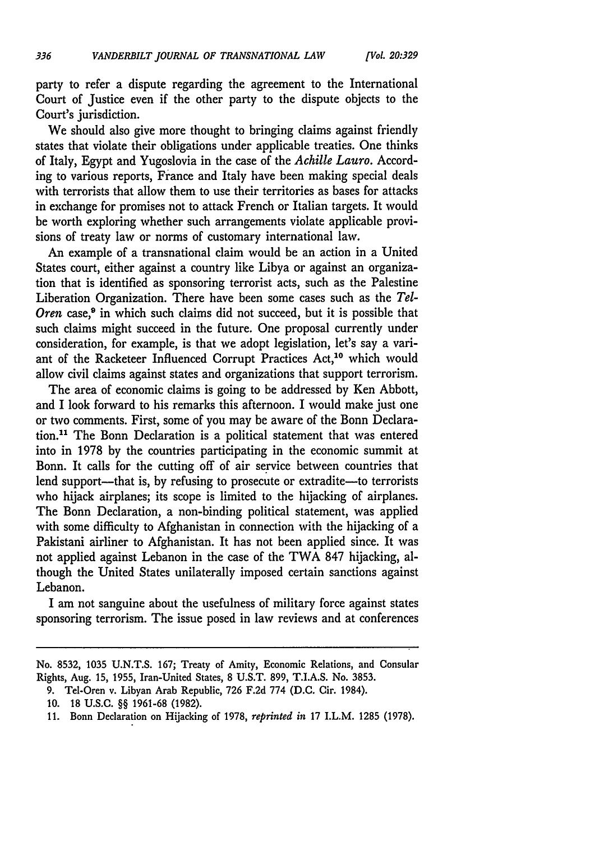party to refer a dispute regarding the agreement to the International Court of Justice even if the other party to the dispute objects to the Court's jurisdiction.

We should also give more thought to bringing claims against friendly states that violate their obligations under applicable treaties. One thinks of Italy, **Egypt** and Yugoslovia in the case of the *Achille Lauro.* According to various reports, France and Italy have been making special deals with terrorists that allow them to use their territories as bases for attacks in exchange for promises not to attack French or Italian targets. It would be worth exploring whether such arrangements violate applicable provisions of treaty law or norms of customary international law.

An example of a transnational claim would be an action in a United States court, either against a country like Libya or against an organization that is identified as sponsoring terrorist acts, such as the Palestine Liberation Organization. There have been some cases such as the *Tel-*Oren case,<sup>9</sup> in which such claims did not succeed, but it is possible that such claims might succeed in the future. One proposal currently under consideration, for example, is that we adopt legislation, let's say a variant of the Racketeer Influenced Corrupt Practices Act,<sup>10</sup> which would allow civil claims against states and organizations that support terrorism.

The area of economic claims is going to be addressed **by** Ken Abbott, and I look forward to his remarks this afternoon. I would make just one or two comments. First, some of you may be aware of the Bonn Declaration."1 The Bonn Declaration is a political statement that was entered into in **1978 by** the countries participating in the economic summit at Bonn. It calls for the cutting off of air service between countries that lend support-that is, by refusing to prosecute or extradite-to terrorists who hijack airplanes; its scope is limited to the hijacking of airplanes. The Bonn Declaration, a non-binding political statement, was applied with some difficulty to Afghanistan in connection with the hijacking of a Pakistani airliner to Afghanistan. It has not been applied since. It was not applied against Lebanon in the case of the TWA **847** hijacking, although the United States unilaterally imposed certain sanctions against Lebanon.

I am not sanguine about the usefulness of military force against states sponsoring terrorism. The issue posed in law reviews and at conferences

No. **8532, 1035 U.N.T.S. 167;** Treaty of Amity, Economic Relations, and Consular Rights, Aug. **15, 1955,** Iran-United States, **8 U.S.T. 899, T.I.A.S.** No. **3853.**

**<sup>9.</sup>** Tel-Oren v. Libyan Arab Republic, **726 F.2d 774 (D.C.** Cir. 1984).

**<sup>10. 18</sup> U.S.C.** §§ **1961-68 (1982).**

**<sup>11.</sup>** Bonn Declaration on Hijacking of **1978,** *reprinted in* **17** I.L.M. **1285 (1978).**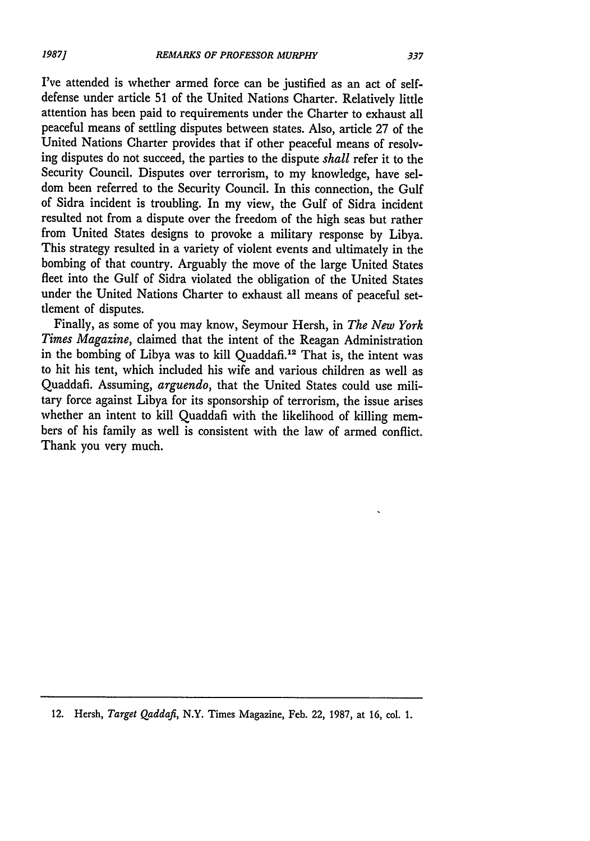I've attended is whether armed force can be justified as an act of selfdefense under article 51 of the United Nations Charter. Relatively little attention has been paid to requirements under the Charter to exhaust all peaceful means of settling disputes between states. Also, article 27 of the United Nations Charter provides that if other peaceful means of resolving disputes do not succeed, the parties to the dispute *shall* refer it to the Security Council. Disputes over terrorism, to my knowledge, have seldom been referred to the Security Council. In this connection, the Gulf of Sidra incident is troubling. In my view, the Gulf of Sidra incident resulted not from a dispute over the freedom of the high seas but rather from United States designs to provoke a military response by Libya. This strategy resulted in a variety of violent events and ultimately in the bombing of that country. Arguably the move of the large United States fleet into the Gulf of Sidra violated the obligation of the United States under the United Nations Charter to exhaust all means of peaceful settlement of disputes.

Finally, as some of you may know, Seymour Hersh, in *The New York Times Magazine,* claimed that the intent of the Reagan Administration in the bombing of Libya was to kill Quaddafi.<sup>12</sup> That is, the intent was to hit his tent, which included his wife and various children as well as Quaddafi. Assuming, *arguendo,* that the United States could use military force against Libya for its sponsorship of terrorism, the issue arises whether an intent to kill Quaddafi with the likelihood of killing members of his family as well is consistent with the law of armed conflict. Thank you very much.

<sup>12.</sup> Hersh, *Target Qaddafi,* N.Y. Times Magazine, Feb. 22, 1987, at 16, col **1.**